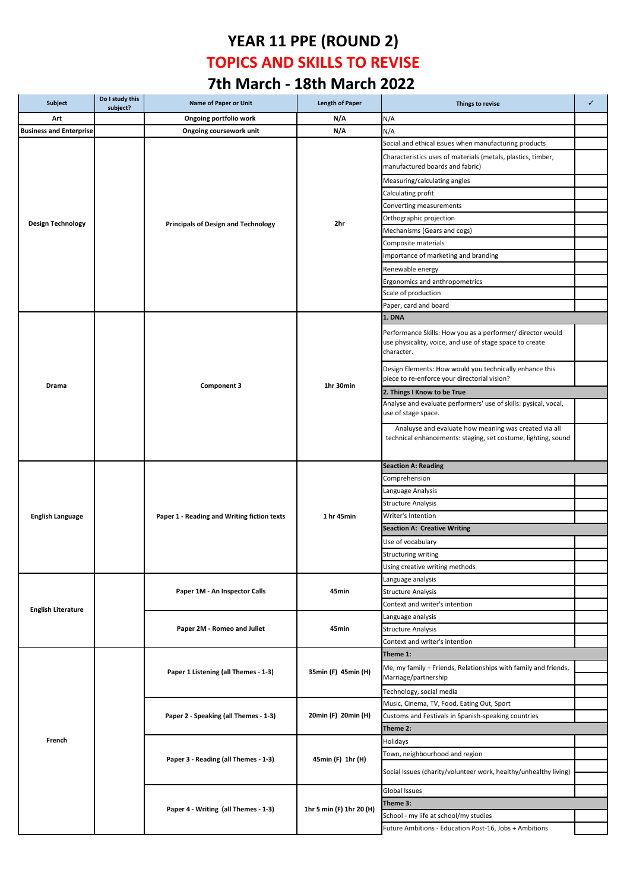## **YEAR 11 PPE (ROUND 2) TOPICS AND SKILLS TO REVISE 7th March - 18th March 2022**

| Subject                        | Do I study this<br>subject? | <b>Name of Paper or Unit</b>                                 | <b>Length of Paper</b>   | Things to revise                                                                                                                     | ✓ |
|--------------------------------|-----------------------------|--------------------------------------------------------------|--------------------------|--------------------------------------------------------------------------------------------------------------------------------------|---|
| Art                            |                             | Ongoing portfolio work                                       | N/A                      | N/A                                                                                                                                  |   |
| <b>Business and Enterprise</b> |                             | Ongoing coursework unit                                      | N/A                      | N/A                                                                                                                                  |   |
|                                |                             |                                                              |                          | Social and ethical issues when manufacturing products                                                                                |   |
|                                |                             |                                                              |                          | Characteristics uses of materials (metals, plastics, timber,<br>manufactured boards and fabric)                                      |   |
|                                |                             |                                                              |                          | Measuring/calculating angles                                                                                                         |   |
|                                |                             |                                                              |                          | Calculating profit                                                                                                                   |   |
|                                |                             |                                                              |                          | Converting measurements                                                                                                              |   |
|                                |                             |                                                              |                          | Orthographic projection                                                                                                              |   |
| <b>Design Technology</b>       |                             | <b>Principals of Design and Technology</b>                   | 2hr                      | Mechanisms (Gears and cogs)                                                                                                          |   |
|                                |                             |                                                              |                          | Composite materials                                                                                                                  |   |
|                                |                             |                                                              |                          | Importance of marketing and branding                                                                                                 |   |
|                                |                             |                                                              |                          | Renewable energy                                                                                                                     |   |
|                                |                             |                                                              |                          | Ergonomics and anthropometrics                                                                                                       |   |
|                                |                             |                                                              |                          | Scale of production                                                                                                                  |   |
|                                |                             |                                                              |                          | Paper, card and board                                                                                                                |   |
|                                |                             |                                                              |                          | 1. DNA                                                                                                                               |   |
|                                |                             |                                                              |                          |                                                                                                                                      |   |
|                                |                             |                                                              |                          | Performance Skills: How you as a performer/ director would<br>use physicality, voice, and use of stage space to create<br>character. |   |
| Drama                          |                             | Component 3                                                  | 1hr 30min                | Design Elements: How would you technically enhance this<br>piece to re-enforce your directorial vision?                              |   |
|                                |                             |                                                              |                          | 2. Things I Know to be True                                                                                                          |   |
|                                |                             |                                                              |                          | Analyse and evaluate performers' use of skills: pysical, vocal,<br>use of stage space.                                               |   |
|                                |                             |                                                              |                          | Analuyse and evaluate how meaning was created via all<br>technical enhancements: staging, set costume, lighting, sound               |   |
|                                |                             |                                                              |                          | <b>Seaction A: Reading</b>                                                                                                           |   |
|                                |                             |                                                              |                          | Comprehension                                                                                                                        |   |
|                                |                             |                                                              |                          | Language Analysis                                                                                                                    |   |
|                                |                             |                                                              |                          | <b>Structure Analysis</b>                                                                                                            |   |
| <b>English Language</b>        |                             | Paper 1 - Reading and Writing fiction texts                  | 1 hr 45min               | Writer's Intention                                                                                                                   |   |
|                                |                             |                                                              |                          | <b>Seaction A: Creative Writing</b>                                                                                                  |   |
|                                |                             |                                                              |                          | Use of vocabulary                                                                                                                    |   |
|                                |                             |                                                              |                          | <b>Structuring writing</b>                                                                                                           |   |
|                                |                             |                                                              |                          | Using creative writing methods                                                                                                       |   |
|                                |                             |                                                              |                          | Language analysis                                                                                                                    |   |
|                                |                             | Paper 1M - An Inspector Calls<br>Paper 2M - Romeo and Juliet | 45min<br>45min           | <b>Structure Analysis</b>                                                                                                            |   |
|                                |                             |                                                              |                          | Context and writer's intention                                                                                                       |   |
| <b>English Literature</b>      |                             |                                                              |                          | Language analysis                                                                                                                    |   |
|                                |                             |                                                              |                          | <b>Structure Analysis</b>                                                                                                            |   |
|                                |                             |                                                              |                          | Context and writer's intention                                                                                                       |   |
|                                |                             | Paper 1 Listening (all Themes - 1-3)                         | 35min (F) 45min (H)      | Theme 1:                                                                                                                             |   |
|                                |                             |                                                              |                          | Me, my family + Friends, Relationships with family and friends,<br>Marriage/partnership                                              |   |
|                                |                             |                                                              |                          | Technology, social media                                                                                                             |   |
|                                |                             | Paper 2 - Speaking (all Themes - 1-3)                        |                          | Music, Cinema, TV, Food, Eating Out, Sport                                                                                           |   |
|                                |                             |                                                              | 20min (F) 20min (H)      | Customs and Festivals in Spanish-speaking countries                                                                                  |   |
|                                |                             |                                                              |                          | Theme 2:                                                                                                                             |   |
| French                         |                             |                                                              | 45min (F) 1hr (H)        | Holidays                                                                                                                             |   |
|                                |                             |                                                              |                          | Town, neighbourhood and region                                                                                                       |   |
|                                |                             | Paper 3 - Reading (all Themes - 1-3)                         |                          |                                                                                                                                      |   |
|                                |                             |                                                              |                          | Social Issues (charity/volunteer work, healthy/unhealthy living)                                                                     |   |
|                                |                             | Paper 4 - Writing (all Themes - 1-3)                         | 1hr 5 min (F) 1hr 20 (H) | Global Issues                                                                                                                        |   |
|                                |                             |                                                              |                          | Theme 3:                                                                                                                             |   |
|                                |                             |                                                              |                          | School - my life at school/my studies                                                                                                |   |
|                                |                             |                                                              |                          | Future Ambitions - Education Post-16, Jobs + Ambitions                                                                               |   |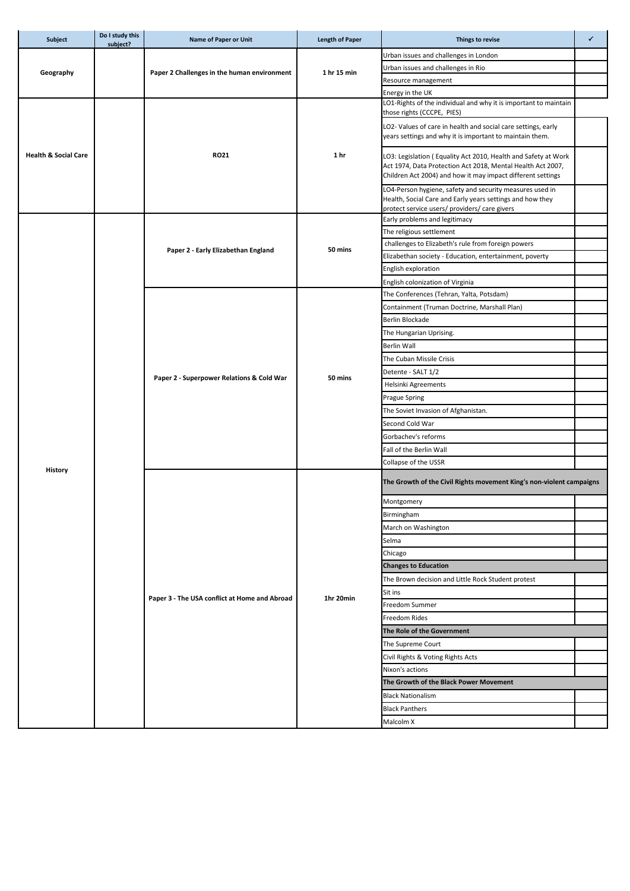| <b>Subject</b>                  | Do I study this<br>subject? | Name of Paper or Unit                         | <b>Length of Paper</b> | Things to revise                                                                                                                                                                             | ✓ |
|---------------------------------|-----------------------------|-----------------------------------------------|------------------------|----------------------------------------------------------------------------------------------------------------------------------------------------------------------------------------------|---|
| Geography                       |                             |                                               |                        | Urban issues and challenges in London                                                                                                                                                        |   |
|                                 |                             |                                               | 1 hr 15 min            | Urban issues and challenges in Rio                                                                                                                                                           |   |
|                                 |                             | Paper 2 Challenges in the human environment   |                        | Resource management                                                                                                                                                                          |   |
|                                 |                             |                                               |                        | Energy in the UK                                                                                                                                                                             |   |
|                                 |                             | <b>RO21</b>                                   | 1 hr                   | LO1-Rights of the individual and why it is important to maintain<br>those rights (CCCPE, PIES)                                                                                               |   |
|                                 |                             |                                               |                        | LO2- Values of care in health and social care settings, early<br>years settings and why it is important to maintain them.                                                                    |   |
| <b>Health &amp; Social Care</b> |                             |                                               |                        | LO3: Legislation (Equality Act 2010, Health and Safety at Work<br>Act 1974, Data Protection Act 2018, Mental Health Act 2007,<br>Children Act 2004) and how it may impact different settings |   |
|                                 |                             |                                               |                        | LO4-Person hygiene, safety and security measures used in<br>Health, Social Care and Early years settings and how they<br>protect service users/ providers/ care givers                       |   |
|                                 |                             |                                               |                        | Early problems and legitimacy                                                                                                                                                                |   |
|                                 |                             |                                               |                        | The religious settlement                                                                                                                                                                     |   |
|                                 |                             |                                               |                        | challenges to Elizabeth's rule from foreign powers                                                                                                                                           |   |
|                                 |                             | Paper 2 - Early Elizabethan England           | 50 mins                | Elizabethan society - Education, entertainment, poverty                                                                                                                                      |   |
|                                 |                             |                                               |                        | English exploration                                                                                                                                                                          |   |
|                                 |                             |                                               |                        | English colonization of Virginia                                                                                                                                                             |   |
|                                 |                             |                                               |                        | The Conferences (Tehran, Yalta, Potsdam)                                                                                                                                                     |   |
|                                 |                             |                                               |                        | Containment (Truman Doctrine, Marshall Plan)                                                                                                                                                 |   |
|                                 |                             |                                               |                        | Berlin Blockade                                                                                                                                                                              |   |
|                                 |                             |                                               |                        | The Hungarian Uprising.                                                                                                                                                                      |   |
|                                 |                             |                                               |                        | <b>Berlin Wall</b>                                                                                                                                                                           |   |
|                                 |                             |                                               |                        | The Cuban Missile Crisis                                                                                                                                                                     |   |
|                                 |                             | Paper 2 - Superpower Relations & Cold War     |                        | Detente - SALT 1/2                                                                                                                                                                           |   |
|                                 |                             |                                               | 50 mins                | Helsinki Agreements                                                                                                                                                                          |   |
|                                 |                             |                                               |                        | <b>Prague Spring</b>                                                                                                                                                                         |   |
|                                 |                             |                                               |                        | The Soviet Invasion of Afghanistan.                                                                                                                                                          |   |
|                                 |                             |                                               |                        | Second Cold War                                                                                                                                                                              |   |
|                                 |                             |                                               |                        | Gorbachev's reforms                                                                                                                                                                          |   |
|                                 |                             |                                               |                        | Fall of the Berlin Wall                                                                                                                                                                      |   |
|                                 |                             |                                               |                        | Collapse of the USSR                                                                                                                                                                         |   |
| <b>History</b>                  |                             | Paper 3 - The USA conflict at Home and Abroad |                        | The Growth of the Civil Rights movement King's non-violent campaigns                                                                                                                         |   |
|                                 |                             |                                               |                        | Montgomery                                                                                                                                                                                   |   |
|                                 |                             |                                               |                        | Birmingham                                                                                                                                                                                   |   |
|                                 |                             |                                               |                        | March on Washington                                                                                                                                                                          |   |
|                                 |                             |                                               |                        | Selma                                                                                                                                                                                        |   |
|                                 |                             |                                               |                        | Chicago                                                                                                                                                                                      |   |
|                                 |                             |                                               |                        | <b>Changes to Education</b>                                                                                                                                                                  |   |
|                                 |                             |                                               |                        | The Brown decision and Little Rock Student protest                                                                                                                                           |   |
|                                 |                             |                                               | 1hr 20min              | Sit ins                                                                                                                                                                                      |   |
|                                 |                             |                                               |                        | Freedom Summer                                                                                                                                                                               |   |
|                                 |                             |                                               |                        | Freedom Rides                                                                                                                                                                                |   |
|                                 |                             |                                               |                        | The Role of the Government                                                                                                                                                                   |   |
|                                 |                             |                                               |                        | The Supreme Court                                                                                                                                                                            |   |
|                                 |                             |                                               |                        | Civil Rights & Voting Rights Acts                                                                                                                                                            |   |
|                                 |                             |                                               |                        | Nixon's actions                                                                                                                                                                              |   |
|                                 |                             |                                               |                        | The Growth of the Black Power Movement                                                                                                                                                       |   |
|                                 |                             |                                               |                        |                                                                                                                                                                                              |   |
|                                 |                             |                                               |                        | <b>Black Nationalism</b>                                                                                                                                                                     |   |
|                                 |                             |                                               |                        | <b>Black Panthers</b>                                                                                                                                                                        |   |
|                                 |                             |                                               |                        | Malcolm X                                                                                                                                                                                    |   |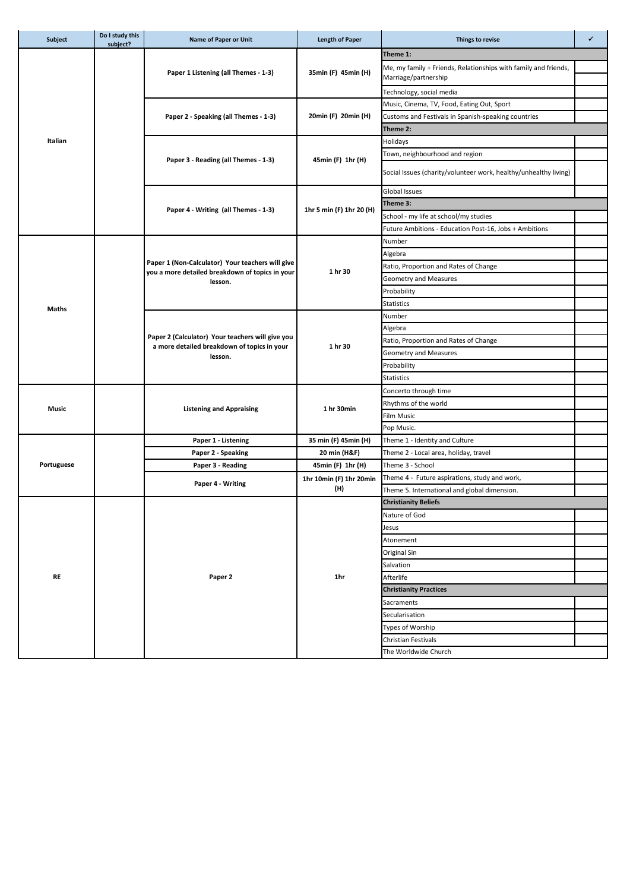| Subject    | Do I study this<br>subject? | Name of Paper or Unit                                      | <b>Length of Paper</b>   | Things to revise                                                                        | $\checkmark$ |
|------------|-----------------------------|------------------------------------------------------------|--------------------------|-----------------------------------------------------------------------------------------|--------------|
|            |                             |                                                            |                          | Theme 1:                                                                                |              |
|            |                             | Paper 1 Listening (all Themes - 1-3)                       | 35min (F) 45min (H)      | Me, my family + Friends, Relationships with family and friends,<br>Marriage/partnership |              |
|            |                             |                                                            |                          | Technology, social media                                                                |              |
|            |                             |                                                            |                          | Music, Cinema, TV, Food, Eating Out, Sport                                              |              |
|            |                             | Paper 2 - Speaking (all Themes - 1-3)                      | 20min (F) 20min (H)      | Customs and Festivals in Spanish-speaking countries                                     |              |
|            |                             |                                                            |                          | Theme 2:                                                                                |              |
| Italian    |                             |                                                            |                          | Holidays                                                                                |              |
|            |                             |                                                            |                          | Town, neighbourhood and region                                                          |              |
|            |                             | Paper 3 - Reading (all Themes - 1-3)                       | 45min (F) 1hr (H)        | Social Issues (charity/volunteer work, healthy/unhealthy living)                        |              |
|            |                             |                                                            |                          | <b>Global Issues</b>                                                                    |              |
|            |                             |                                                            |                          | Theme 3:                                                                                |              |
|            |                             | Paper 4 - Writing (all Themes - 1-3)                       | 1hr 5 min (F) 1hr 20 (H) | School - my life at school/my studies                                                   |              |
|            |                             |                                                            |                          | Future Ambitions - Education Post-16, Jobs + Ambitions                                  |              |
|            |                             |                                                            |                          | Number                                                                                  |              |
|            |                             |                                                            |                          | Algebra                                                                                 |              |
|            |                             | Paper 1 (Non-Calculator) Your teachers will give           |                          | Ratio, Proportion and Rates of Change                                                   |              |
|            |                             | you a more detailed breakdown of topics in your<br>lesson. | 1 hr 30                  | Geometry and Measures                                                                   |              |
|            |                             |                                                            |                          | Probability                                                                             |              |
|            |                             |                                                            |                          | <b>Statistics</b>                                                                       |              |
| Maths      |                             |                                                            |                          | Number                                                                                  |              |
|            |                             |                                                            |                          | Algebra                                                                                 |              |
|            |                             | Paper 2 (Calculator) Your teachers will give you           |                          | Ratio, Proportion and Rates of Change                                                   |              |
|            |                             | a more detailed breakdown of topics in your                | 1 hr 30                  | Geometry and Measures                                                                   |              |
|            |                             | lesson.                                                    |                          | Probability                                                                             |              |
|            |                             |                                                            |                          | <b>Statistics</b>                                                                       |              |
|            |                             |                                                            |                          | Concerto through time                                                                   |              |
|            |                             |                                                            |                          | Rhythms of the world                                                                    |              |
| Music      |                             | <b>Listening and Appraising</b>                            | 1 hr 30min               | <b>Film Music</b>                                                                       |              |
|            |                             |                                                            |                          | Pop Music.                                                                              |              |
|            |                             | Paper 1 - Listening                                        | 35 min (F) 45min (H)     | Theme 1 - Identity and Culture                                                          |              |
|            |                             | Paper 2 - Speaking                                         | 20 min (H&F)             | Theme 2 - Local area, holiday, travel                                                   |              |
| Portuguese |                             | Paper 3 - Reading                                          | 45min (F) 1hr (H)        | Theme 3 - School                                                                        |              |
|            |                             | Paper 4 - Writing                                          | 1hr 10min (F) 1hr 20min  | Theme 4 - Future aspirations, study and work,                                           |              |
|            |                             |                                                            | (11)                     | Theme 5. International and global dimension.                                            |              |
|            |                             |                                                            |                          | <b>Christianity Beliefs</b>                                                             |              |
|            |                             |                                                            |                          | Nature of God                                                                           |              |
|            |                             |                                                            |                          | Jesus                                                                                   |              |
|            |                             |                                                            |                          | Atonement                                                                               |              |
|            |                             |                                                            | 1hr                      | Original Sin                                                                            |              |
|            |                             |                                                            |                          | Salvation                                                                               |              |
| <b>RE</b>  |                             | Paper 2                                                    |                          | Afterlife                                                                               |              |
|            |                             |                                                            |                          | <b>Christianity Practices</b>                                                           |              |
|            |                             |                                                            |                          | Sacraments                                                                              |              |
|            |                             |                                                            |                          | Secularisation                                                                          |              |
|            |                             |                                                            |                          | Types of Worship                                                                        |              |
|            |                             |                                                            |                          | <b>Christian Festivals</b>                                                              |              |
|            |                             |                                                            |                          | The Worldwide Church                                                                    |              |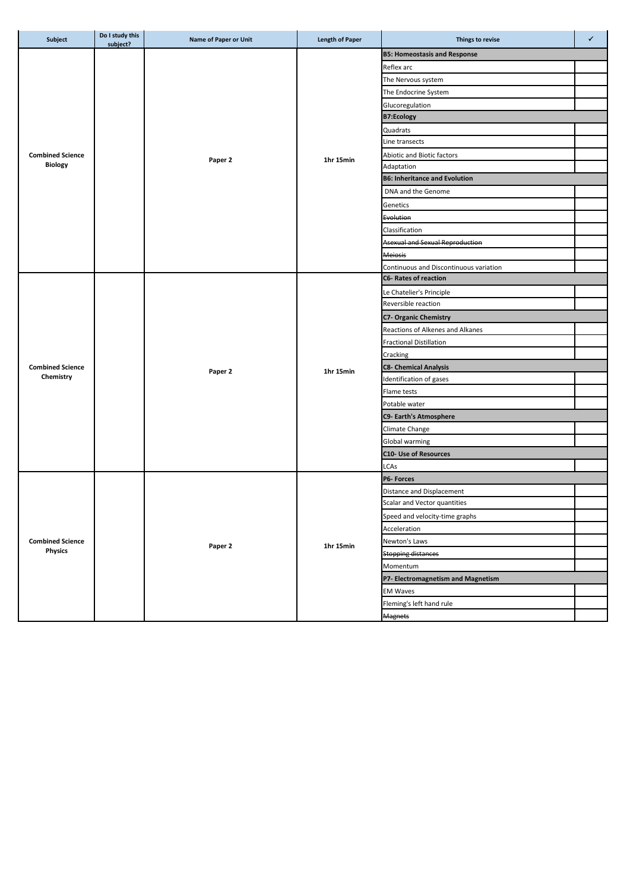| Subject                 | Do I study this<br>subject? | Name of Paper or Unit | <b>Length of Paper</b> | Things to revise                       | ✓ |
|-------------------------|-----------------------------|-----------------------|------------------------|----------------------------------------|---|
|                         |                             |                       |                        | <b>B5: Homeostasis and Response</b>    |   |
|                         |                             |                       |                        | Reflex arc                             |   |
|                         |                             |                       |                        | The Nervous system                     |   |
|                         |                             |                       |                        | The Endocrine System                   |   |
|                         |                             |                       |                        | Glucoregulation                        |   |
|                         |                             |                       |                        | <b>B7:Ecology</b>                      |   |
|                         |                             |                       |                        | Quadrats                               |   |
|                         |                             |                       |                        | Line transects                         |   |
| <b>Combined Science</b> |                             |                       |                        | Abiotic and Biotic factors             |   |
| <b>Biology</b>          |                             | Paper 2               | 1hr 15min              | Adaptation                             |   |
|                         |                             |                       |                        | <b>B6: Inheritance and Evolution</b>   |   |
|                         |                             |                       |                        | DNA and the Genome                     |   |
|                         |                             |                       |                        | Genetics                               |   |
|                         |                             |                       |                        | Evolution                              |   |
|                         |                             |                       |                        | Classification                         |   |
|                         |                             |                       |                        | <b>Asexual and Sexual Reproduction</b> |   |
|                         |                             |                       |                        | <b>Meiosis</b>                         |   |
|                         |                             |                       |                        | Continuous and Discontinuous variation |   |
|                         |                             |                       |                        | <b>C6- Rates of reaction</b>           |   |
|                         |                             |                       |                        | Le Chatelier's Principle               |   |
|                         |                             |                       |                        | Reversible reaction                    |   |
|                         |                             |                       |                        | <b>C7- Organic Chemistry</b>           |   |
|                         |                             |                       |                        | Reactions of Alkenes and Alkanes       |   |
|                         |                             |                       |                        | <b>Fractional Distillation</b>         |   |
|                         |                             |                       |                        | Cracking                               |   |
| <b>Combined Science</b> |                             |                       |                        | <b>C8- Chemical Analysis</b>           |   |
| Chemistry               |                             | Paper 2               | 1hr 15min              | Identification of gases                |   |
|                         |                             |                       |                        | Flame tests                            |   |
|                         |                             |                       |                        | Potable water                          |   |
|                         |                             |                       |                        | C9- Earth's Atmosphere                 |   |
|                         |                             |                       |                        | Climate Change                         |   |
|                         |                             |                       |                        | Global warming                         |   |
|                         |                             |                       |                        | <b>C10- Use of Resources</b>           |   |
|                         |                             |                       |                        | LCAs                                   |   |
|                         |                             | Paper 2               | 1hr 15min              | P6- Forces                             |   |
|                         |                             |                       |                        | Distance and Displacement              |   |
|                         |                             |                       |                        | Scalar and Vector quantities           |   |
|                         |                             |                       |                        | Speed and velocity-time graphs         |   |
|                         |                             |                       |                        | Acceleration                           |   |
| <b>Combined Science</b> |                             |                       |                        | Newton's Laws                          |   |
| <b>Physics</b>          |                             |                       |                        | <b>Stopping distances</b>              |   |
|                         |                             |                       |                        | Momentum                               |   |
|                         |                             |                       |                        | P7- Electromagnetism and Magnetism     |   |
|                         |                             |                       |                        | <b>EM Waves</b>                        |   |
|                         |                             |                       |                        |                                        |   |
|                         |                             |                       |                        | Fleming's left hand rule               |   |
|                         |                             |                       |                        | <b>Magnets</b>                         |   |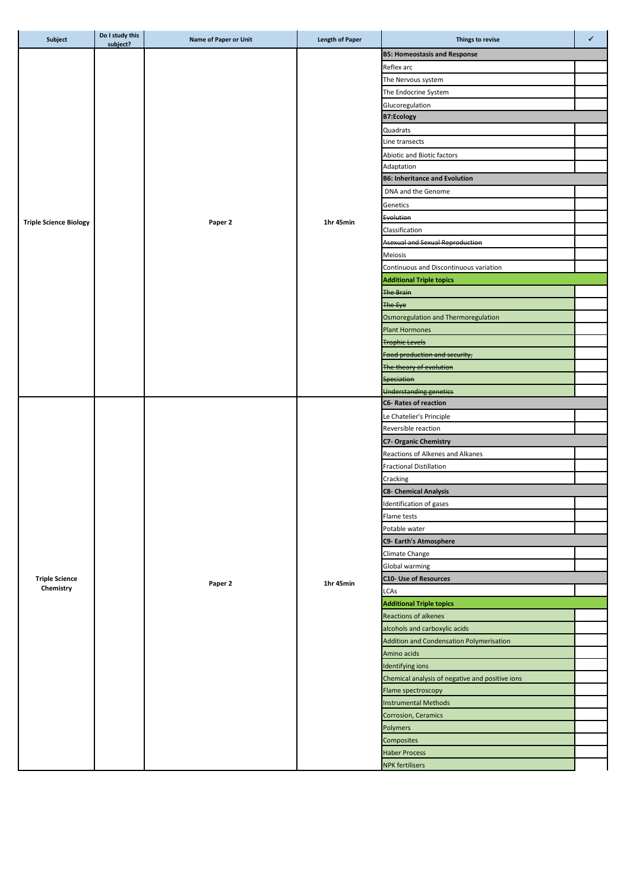| Subject                       | Do I study this<br>subject? | <b>Name of Paper or Unit</b> | <b>Length of Paper</b> | Things to revise                                | $\checkmark$ |
|-------------------------------|-----------------------------|------------------------------|------------------------|-------------------------------------------------|--------------|
|                               |                             |                              |                        | <b>B5: Homeostasis and Response</b>             |              |
|                               |                             |                              |                        | Reflex arc                                      |              |
|                               |                             |                              |                        | The Nervous system                              |              |
|                               |                             |                              |                        | The Endocrine System                            |              |
|                               |                             |                              |                        | Glucoregulation                                 |              |
|                               |                             |                              |                        | <b>B7:Ecology</b>                               |              |
|                               |                             |                              |                        | Quadrats                                        |              |
|                               |                             |                              |                        | Line transects                                  |              |
|                               |                             |                              |                        | Abiotic and Biotic factors                      |              |
|                               |                             |                              |                        | Adaptation                                      |              |
|                               |                             |                              |                        | <b>B6: Inheritance and Evolution</b>            |              |
|                               |                             |                              |                        | DNA and the Genome                              |              |
|                               |                             |                              |                        | Genetics                                        |              |
|                               |                             |                              |                        | Evolution                                       |              |
| <b>Triple Science Biology</b> |                             | Paper 2                      | 1hr 45min              | Classification                                  |              |
|                               |                             |                              |                        | <b>Asexual and Sexual Reproduction</b>          |              |
|                               |                             |                              |                        | Meiosis                                         |              |
|                               |                             |                              |                        | Continuous and Discontinuous variation          |              |
|                               |                             |                              |                        | <b>Additional Triple topics</b>                 |              |
|                               |                             |                              |                        | <b>The Brain</b>                                |              |
|                               |                             |                              |                        | The Eye                                         |              |
|                               |                             |                              |                        | Osmoregulation and Thermoregulation             |              |
|                               |                             |                              |                        | <b>Plant Hormones</b>                           |              |
|                               |                             |                              |                        | <b>Trophic Levels</b>                           |              |
|                               |                             |                              |                        | Food production and security,                   |              |
|                               |                             |                              |                        | The theory of evolution                         |              |
|                               |                             |                              |                        | <b>Speciation</b>                               |              |
|                               |                             |                              |                        | Understanding genetics                          |              |
|                               |                             |                              |                        | <b>C6- Rates of reaction</b>                    |              |
|                               |                             | Paper 2                      |                        | Le Chatelier's Principle                        |              |
|                               |                             |                              |                        | Reversible reaction                             |              |
|                               |                             |                              |                        | <b>C7- Organic Chemistry</b>                    |              |
|                               |                             |                              |                        | Reactions of Alkenes and Alkanes                |              |
|                               |                             |                              |                        | <b>Fractional Distillation</b>                  |              |
|                               |                             |                              |                        | Cracking                                        |              |
|                               |                             |                              |                        | <b>C8- Chemical Analysis</b>                    |              |
|                               |                             |                              |                        | Identification of gases                         |              |
|                               |                             |                              |                        | Flame tests                                     |              |
|                               |                             |                              | 1hr 45min              | Potable water                                   |              |
|                               |                             |                              |                        | <b>C9- Earth's Atmosphere</b>                   |              |
|                               |                             |                              |                        | Climate Change                                  |              |
|                               |                             |                              |                        | Global warming                                  |              |
| <b>Triple Science</b>         |                             |                              |                        | <b>C10- Use of Resources</b>                    |              |
| Chemistry                     |                             |                              |                        | LCAs                                            |              |
|                               |                             |                              |                        | <b>Additional Triple topics</b>                 |              |
|                               |                             |                              |                        | <b>Reactions of alkenes</b>                     |              |
|                               |                             |                              |                        | alcohols and carboxylic acids                   |              |
|                               |                             |                              |                        | Addition and Condensation Polymerisation        |              |
|                               |                             |                              |                        | Amino acids                                     |              |
|                               |                             |                              |                        | Identifying ions                                |              |
|                               |                             |                              |                        | Chemical analysis of negative and positive ions |              |
|                               |                             |                              |                        | Flame spectroscopy                              |              |
|                               |                             |                              |                        | <b>Instrumental Methods</b>                     |              |
|                               |                             |                              |                        | Corrosion, Ceramics                             |              |
|                               |                             |                              |                        | Polymers                                        |              |
|                               |                             |                              |                        | Composites                                      |              |
|                               |                             |                              |                        | <b>Haber Process</b>                            |              |
|                               |                             |                              |                        | <b>NPK fertilisers</b>                          |              |